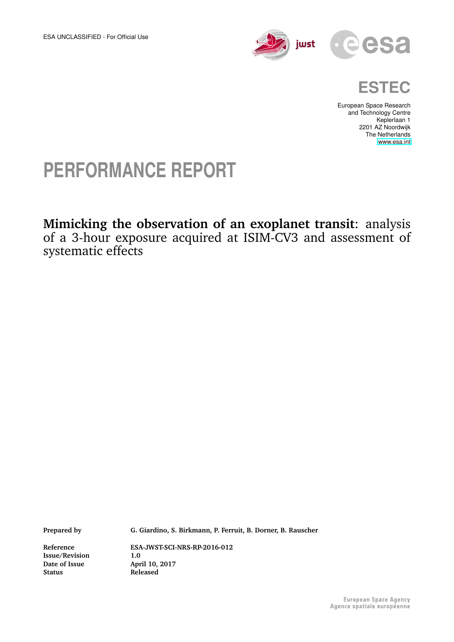

$$
\mathbf{CSa}
$$



European Space Research and Technology Centre Keplerlaan 1 2201 AZ Noordwijk The Netherlands [www.esa.int](http://www.esa.int)

## **PERFORMANCE REPORT**

### **Mimicking the observation of an exoplanet transit**: analysis of a 3-hour exposure acquired at ISIM-CV3 and assessment of systematic effects

**Prepared by G. Giardino, S. Birkmann, P. Ferruit, B. Dorner, B. Rauscher**

**Date of Issue<br>Status** 

**Reference ESA-JWST-SCI-NRS-RP-2016-012 Issue/Revision** 1.0<br>
Date of Issue April 10, 2017 **Status Released**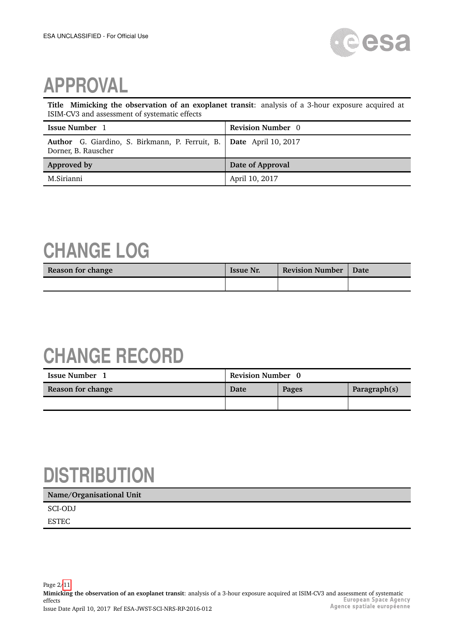

# **APPROVAL**

**Title Mimicking the observation of an exoplanet transit**: analysis of a 3-hour exposure acquired at ISIM-CV3 and assessment of systematic effects

| <b>Issue Number</b> 1                                                                      | <b>Revision Number</b> 0 |
|--------------------------------------------------------------------------------------------|--------------------------|
| Author G. Giardino, S. Birkmann, P. Ferruit, B. Date April 10, 2017<br>Dorner, B. Rauscher |                          |
| Approved by                                                                                | Date of Approval         |
| M.Sirianni                                                                                 | April 10, 2017           |

## **CHANGE LOG**

| Reason for change | <b>Issue Nr.</b> | <b>Revision Number   Date</b> |  |
|-------------------|------------------|-------------------------------|--|
|                   |                  |                               |  |

## **CHANGE RECORD**

| <b>Issue Number</b> | <b>Revision Number</b> 0 |       |              |
|---------------------|--------------------------|-------|--------------|
| Reason for change   | Date                     | Pages | Paragraph(s) |
|                     |                          |       |              |

# **DISTRIBUTION**

#### **Name/Organisational Unit**

SCI-ODJ ESTEC

Page 2[/11](#page-10-0) **Mimicking the observation of an exoplanet transit**: analysis of a 3-hour exposure acquired at ISIM-CV3 and assessment of systematic effects Issue Date April 10, 2017 Ref ESA-JWST-SCI-NRS-RP-2016-012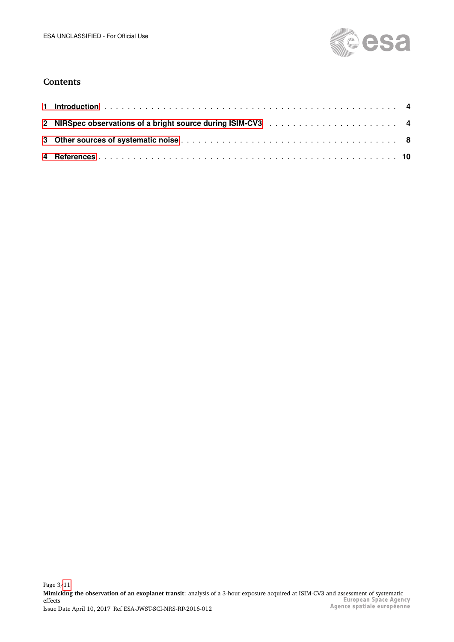

### **Contents**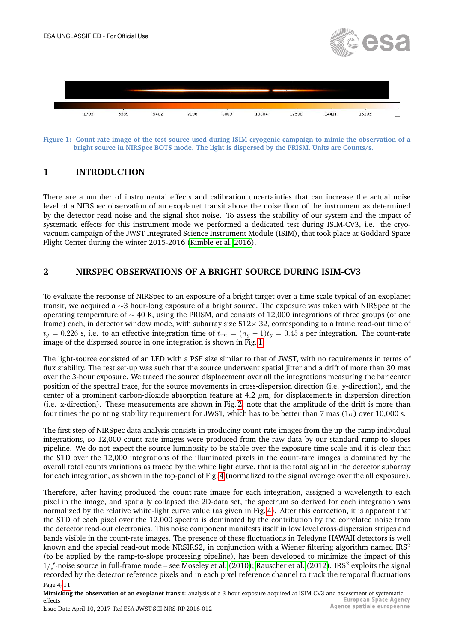



<span id="page-3-2"></span>**Figure 1: Count-rate image of the test source used during ISIM cryogenic campaign to mimic the observation of a bright source in NIRSpec BOTS mode. The light is dispersed by the PRISM. Units are Counts/s.**

### <span id="page-3-0"></span>**1 INTRODUCTION**

There are a number of instrumental effects and calibration uncertainties that can increase the actual noise level of a NIRSpec observation of an exoplanet transit above the noise floor of the instrument as determined by the detector read noise and the signal shot noise. To assess the stability of our system and the impact of systematic effects for this instrument mode we performed a dedicated test during ISIM-CV3, i.e. the cryovacuum campaign of the JWST Integrated Science Instrument Module (ISIM), that took place at Goddard Space Flight Center during the winter 2015-2016 [\(Kimble et al. 2016\)](#page-10-1).

#### <span id="page-3-1"></span>**2 NIRSPEC OBSERVATIONS OF A BRIGHT SOURCE DURING ISIM-CV3**

To evaluate the response of NIRSpec to an exposure of a bright target over a time scale typical of an exoplanet transit, we acquired a ∼3 hour-long exposure of a bright source. The exposure was taken with NIRSpec at the operating temperature of  $\sim$  40 K, using the PRISM, and consists of 12,000 integrations of three groups (of one frame) each, in detector window mode, with subarray size  $512 \times 32$ , corresponding to a frame read-out time of  $t<sub>g</sub> = 0.226$  s, i.e. to an effective integration time of  $t<sub>int</sub> = (n<sub>g</sub> - 1)t<sub>g</sub> = 0.45$  s per integration. The count-rate image of the dispersed source in one integration is shown in Fig. [1.](#page-3-2)

The light-source consisted of an LED with a PSF size similar to that of JWST, with no requirements in terms of flux stability. The test set-up was such that the source underwent spatial jitter and a drift of more than 30 mas over the 3-hour exposure. We traced the source displacement over all the integrations measuring the baricenter position of the spectral trace, for the source movements in cross-dispersion direction (i.e. y-direction), and the center of a prominent carbon-dioxide absorption feature at 4.2  $\mu$ m, for displacements in dispersion direction (i.e. x-direction). These measurements are shown in Fig. [2,](#page-4-0) note that the amplitude of the drift is more than four times the pointing stability requirement for JWST, which has to be better than 7 mas ( $1\sigma$ ) over 10,000 s.

The first step of NIRSpec data analysis consists in producing count-rate images from the up-the-ramp individual integrations, so 12,000 count rate images were produced from the raw data by our standard ramp-to-slopes pipeline. We do not expect the source luminosity to be stable over the exposure time-scale and it is clear that the STD over the 12,000 integrations of the illuminated pixels in the count-rare images is dominated by the overall total counts variations as traced by the white light curve, that is the total signal in the detector subarray for each integration, as shown in the top-panel of Fig. [4](#page-6-0) (normalized to the signal average over the all exposure).

Therefore, after having produced the count-rate image for each integration, assigned a wavelength to each pixel in the image, and spatially collapsed the 2D-data set, the spectrum so derived for each integration was normalized by the relative white-light curve value (as given in Fig. [4\)](#page-6-0). After this correction, it is apparent that the STD of each pixel over the 12,000 spectra is dominated by the contribution by the correlated noise from the detector read-out electronics. This noise component manifests itself in low level cross-dispersion stripes and bands visible in the count-rate images. The presence of these fluctuations in Teledyne HAWAII detectors is well known and the special read-out mode NRSIRS2, in conjunction with a Wiener filtering algorithm named IRS<sup>2</sup> (to be applied by the ramp-to-slope processing pipeline), has been developed to minimize the impact of this  $1/f$ -noise source in full-frame mode – see [Moseley et al.](#page-10-2) [\(2010\)](#page-10-2); [Rauscher et al.](#page-10-3) [\(2012\)](#page-10-3). IRS<sup>2</sup> exploits the signal recorded by the detector reference pixels and in each pixel reference channel to track the temporal fluctuations Page 4[/11](#page-10-0)

**Mimicking the observation of an exoplanet transit**: analysis of a 3-hour exposure acquired at ISIM-CV3 and assessment of systematic<br> **European Space Agency** effects Agence spatiale européenne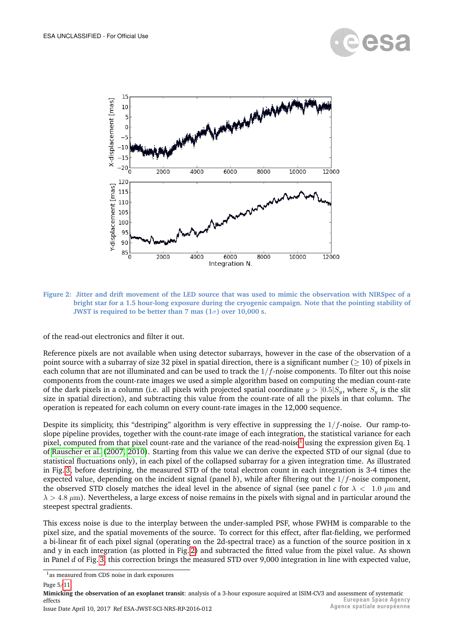



<span id="page-4-0"></span>**Figure 2: Jitter and drift movement of the LED source that was used to mimic the observation with NIRSpec of a bright star for a 1.5 hour-long exposure during the cryogenic campaign. Note that the pointing stability of JWST is required to be better than 7 mas (1**σ**) over 10,000 s.**

of the read-out electronics and filter it out.

Reference pixels are not available when using detector subarrays, however in the case of the observation of a point source with a subarray of size 32 pixel in spatial direction, there is a significant number ( $\geq$  10) of pixels in each column that are not illuminated and can be used to track the  $1/f$ -noise components. To filter out this noise components from the count-rate images we used a simple algorithm based on computing the median count-rate of the dark pixels in a column (i.e. all pixels with projected spatial coordinate  $y > |0.5|S_y$ , where  $S_y$  is the slit size in spatial direction), and subtracting this value from the count-rate of all the pixels in that column. The operation is repeated for each column on every count-rate images in the 12,000 sequence.

Despite its simplicity, this "destriping" algorithm is very effective in suppressing the  $1/f$ -noise. Our ramp-toslope pipeline provides, together with the count-rate image of each integration, the statistical variance for each pixel, computed from that pixel count-rate and the variance of the read-noise<sup>[1](#page-4-1)</sup> using the expression given Eq. 1 of [Rauscher et al.](#page-10-4) [\(2007,](#page-10-4) [2010\)](#page-10-5). Starting from this value we can derive the expected STD of our signal (due to statistical fluctuations only), in each pixel of the collapsed subarray for a given integration time. As illustrated in Fig. [3,](#page-5-0) before destriping, the measured STD of the total electron count in each integration is 3-4 times the expected value, depending on the incident signal (panel *b*), while after filtering out the 1/f-noise component, the observed STD closely matches the ideal level in the absence of signal (see panel *c* for  $\lambda < 1.0 \mu m$  and  $\lambda > 4.8 \ \mu m$ ). Nevertheless, a large excess of noise remains in the pixels with signal and in particular around the steepest spectral gradients.

This excess noise is due to the interplay between the under-sampled PSF, whose FWHM is comparable to the pixel size, and the spatial movements of the source. To correct for this effect, after flat-fielding, we performed a bi-linear fit of each pixel signal (operating on the 2d-spectral trace) as a function of the source position in x and y in each integration (as plotted in Fig. [2\)](#page-4-0) and subtracted the fitted value from the pixel value. As shown in Panel *d* of Fig. [3,](#page-5-0) this correction brings the measured STD over 9,000 integration in line with expected value,

**Mimicking the observation of an exoplanet transit**: analysis of a 3-hour exposure acquired at ISIM-CV3 and assessment of systematic<br>*effects* European Space Agency effects Agence spatiale européenne

<span id="page-4-1"></span><sup>1</sup>as measured from CDS noise in dark exposures

Page 5[/11](#page-10-0)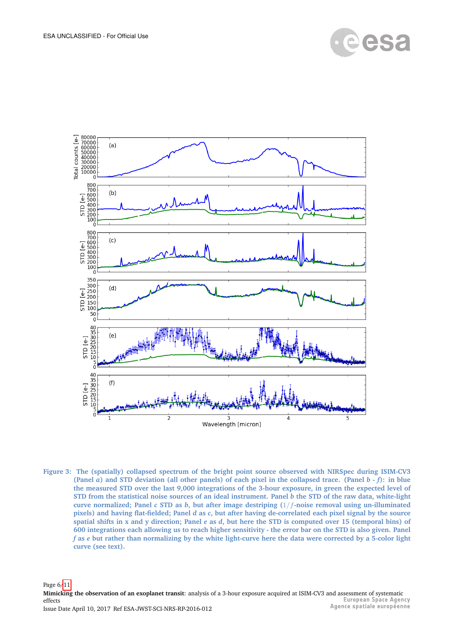



<span id="page-5-0"></span>**Figure 3: The (spatially) collapsed spectrum of the bright point source observed with NIRSpec during ISIM-CV3 (Panel** *a***) and STD deviation (all other panels) of each pixel in the collapsed trace. (Panel** *b - f***): in blue the measured STD over the last 9,000 integrations of the 3-hour exposure, in green the expected level of STD from the statistical noise sources of an ideal instrument. Panel** *b* **the STD of the raw data, white-light curve normalized; Panel** *c* **STD as** *b***, but after image destriping (**1/f**-noise removal using un-illuminated pixels) and having flat-fielded; Panel** *d* **as** *c***, but after having de-correlated each pixel signal by the source spatial shifts in x and y direction; Panel** *e* **as** *d***, but here the STD is computed over 15 (temporal bins) of 600 integrations each allowing us to reach higher sensitivity - the error bar on the STD is also given. Panel** *f* **as** *e* **but rather than normalizing by the white light-curve here the data were corrected by a 5-color light curve (see text).**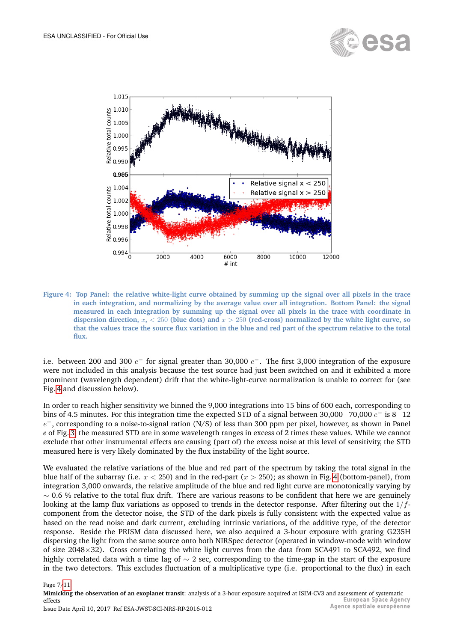



<span id="page-6-0"></span>**Figure 4: Top Panel: the relative white-light curve obtained by summing up the signal over all pixels in the trace in each integration, and normalizing by the average value over all integration. Bottom Panel: the signal measured in each integration by summing up the signal over all pixels in the trace with coordinate in** dispersion direction,  $x$ ,  $\lt$  250 (blue dots) and  $x$   $>$  250 (red-cross) normalized by the white light curve, so **that the values trace the source flux variation in the blue and red part of the spectrum relative to the total flux.**

i.e. between 200 and 300  $e^-$  for signal greater than 30,000  $e^-$ . The first 3,000 integration of the exposure were not included in this analysis because the test source had just been switched on and it exhibited a more prominent (wavelength dependent) drift that the white-light-curve normalization is unable to correct for (see Fig. [4](#page-6-0) and discussion below).

In order to reach higher sensitivity we binned the 9,000 integrations into 15 bins of 600 each, corresponding to bins of 4.5 minutes. For this integration time the expected STD of a signal between 30,000–70,000  $e^-$  is 8–12  $e^-$ , corresponding to a noise-to-signal ration (N/S) of less than 300 ppm per pixel, however, as shown in Panel *e* of Fig. [3,](#page-5-0) the measured STD are in some wavelength ranges in excess of 2 times these values. While we cannot exclude that other instrumental effects are causing (part of) the excess noise at this level of sensitivity, the STD measured here is very likely dominated by the flux instability of the light source.

We evaluated the relative variations of the blue and red part of the spectrum by taking the total signal in the blue half of the subarray (i.e.  $x < 250$ ) and in the red-part ( $x > 250$ ); as shown in Fig. [4](#page-6-0) (bottom-panel), from integration 3,000 onwards, the relative amplitude of the blue and red light curve are monotonically varying by  $~\sim$  0.6 % relative to the total flux drift. There are various reasons to be confident that here we are genuinely looking at the lamp flux variations as opposed to trends in the detector response. After filtering out the  $1/f$ component from the detector noise, the STD of the dark pixels is fully consistent with the expected value as based on the read noise and dark current, excluding intrinsic variations, of the additive type, of the detector response. Beside the PRISM data discussed here, we also acquired a 3-hour exposure with grating G235H dispersing the light from the same source onto both NIRSpec detector (operated in window-mode with window of size 2048×32). Cross correlating the white light curves from the data from SCA491 to SCA492, we find highly correlated data with a time lag of ∼ 2 sec, corresponding to the time-gap in the start of the exposure in the two detectors. This excludes fluctuation of a multiplicative type (i.e. proportional to the flux) in each

#### Page 7[/11](#page-10-0)

**Mimicking the observation of an exoplanet transit**: analysis of a 3-hour exposure acquired at ISIM-CV3 and assessment of systematic<br> **European Space Agency** effects Agence spatiale européenne Issue Date April 10, 2017 Ref ESA-JWST-SCI-NRS-RP-2016-012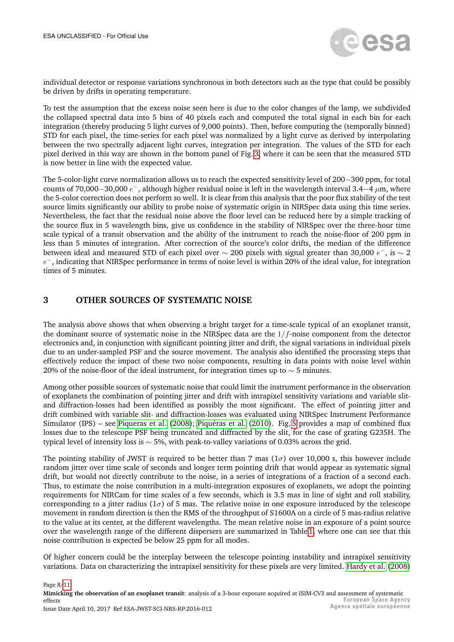

individual detector or response variations synchronous in both detectors such as the type that could be possibly be driven by drifts in operating temperature.

To test the assumption that the excess noise seen here is due to the color changes of the lamp, we subdivided the collapsed spectral data into 5 bins of 40 pixels each and computed the total signal in each bin for each integration (thereby producing 5 light curves of 9,000 points). Then, before computing the (temporally binned) STD for each pixel, the time-series for each pixel was normalized by a light curve as derived by interpolating between the two spectrally adjacent light curves, integration per integration. The values of the STD for each pixel derived in this way are shown in the bottom panel of Fig. [3,](#page-5-0) where it can be seen that the measured STD is now better in line with the expected value.

The 5-color-light curve normalization allows us to reach the expected sensitivity level of 200−300 ppm, for total counts of 70,000–30,000  $e^-$ , although higher residual noise is left in the wavelength interval 3.4–4  $\mu$ m, where the 5-color correction does not perform so well. It is clear from this analysis that the poor flux stability of the test source limits significantly our ability to probe noise of systematic origin in NIRSpec data using this time series. Nevertheless, the fact that the residual noise above the floor level can be reduced here by a simple tracking of the source flux in 5 wavelength bins, give us confidence in the stability of NIRSpec over the three-hour time scale typical of a transit observation and the ability of the instrument to reach the noise-floor of 200 ppm in less than 5 minutes of integration. After correction of the source's color drifts, the median of the difference between ideal and measured STD of each pixel over  $\sim$  200 pixels with signal greater than 30,000  $e^-$ , is  $\sim$  2  $e^-$ , indicating that NIRSpec performance in terms of noise level is within 20% of the ideal value, for integration times of 5 minutes.

#### <span id="page-7-0"></span>**3 OTHER SOURCES OF SYSTEMATIC NOISE**

The analysis above shows that when observing a bright target for a time-scale typical of an exoplanet transit, the dominant source of systematic noise in the NIRSpec data are the  $1/f$ -noise component from the detector electronics and, in conjunction with significant pointing jitter and drift, the signal variations in individual pixels due to an under-sampled PSF and the source movement. The analysis also identified the processing steps that effectively reduce the impact of these two noise components, resulting in data points with noise level within 20% of the noise-floor of the ideal instrument, for integration times up to  $\sim$  5 minutes.

Among other possible sources of systematic noise that could limit the instrument performance in the observation of exoplanets the combination of pointing jitter and drift with intrapixel sensitivity variations and variable slitand diffraction-losses had been identified as possibly the most significant. The effect of pointing jitter and drift combined with variable slit- and diffraction-losses was evaluated using NIRSpec Instrument Performance Simulator (IPS) – see [Piqueras et al.](#page-10-6) [\(2008\)](#page-10-6); Piquéras et al. [\(2010\)](#page-10-7). Fig. [5](#page-8-0) provides a map of combined flux losses due to the telescope PSF being truncated and diffracted by the slit, for the case of grating G235H. The typical level of intensity loss is  $\sim$  5%, with peak-to-valley variations of 0.03% across the grid.

The pointing stability of JWST is required to be better than 7 mas  $(1\sigma)$  over 10,000 s, this however include random jitter over time scale of seconds and longer term pointing drift that would appear as systematic signal drift, but would not directly contribute to the noise, in a series of integrations of a fraction of a second each. Thus, to estimate the noise contribution in a multi-integration exposures of exoplanets, we adopt the pointing requirements for NIRCam for time scales of a few seconds, which is 3.5 mas in line of sight and roll stability, corresponding to a jitter radius ( $1\sigma$ ) of 5 mas. The relative noise in one exposure introduced by the telescope movement in random direction is then the RMS of the throughput of S1600A on a circle of 5 mas-radius relative to the value at its center, at the different wavelengths. The mean relative noise in an exposure of a point source over the wavelength range of the different dispersers are summarized in Table [1,](#page-8-1) where one can see that this noise contribution is expected be below 25 ppm for all modes.

Of higher concern could be the interplay between the telescope pointing instability and intrapixel sensitivity variations. Data on characterizing the intrapixel sensitivity for these pixels are very limited. [Hardy et al.](#page-10-8) [\(2008\)](#page-10-8)

#### Page 8[/11](#page-10-0)

**Mimicking the observation of an exoplanet transit**: analysis of a 3-hour exposure acquired at ISIM-CV3 and assessment of systematic<br> **European Space Agency** effects Agence spatiale européenne Issue Date April 10, 2017 Ref ESA-JWST-SCI-NRS-RP-2016-012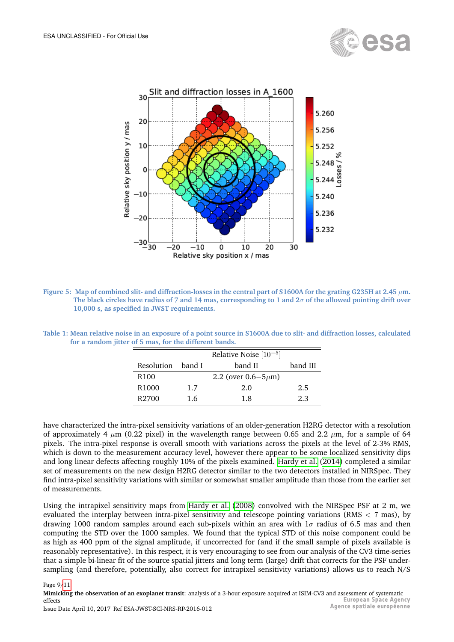



<span id="page-8-0"></span>**Figure 5: Map of combined slit- and diffraction-losses in the central part of S1600A for the grating G235H at 2.45** µ**m. The black circles have radius of 7 and 14 mas, corresponding to 1 and 2**σ **of the allowed pointing drift over 10,000 s, as specified in JWST requirements.**

<span id="page-8-1"></span>

| Table 1: Mean relative noise in an exposure of a point source in S1600A due to slit- and diffraction losses, calculated |                                                        |  |  |
|-------------------------------------------------------------------------------------------------------------------------|--------------------------------------------------------|--|--|
|                                                                                                                         | for a random jitter of 5 mas, for the different bands. |  |  |

|                   |     | Relative Noise $[10^{-5}]$  |          |
|-------------------|-----|-----------------------------|----------|
| Resolution band I |     | band II                     | band III |
| R <sub>100</sub>  |     | 2.2 (over $0.6 - 5 \mu m$ ) |          |
| R <sub>1000</sub> | 1.7 | 2.0                         | 2.5      |
| R <sub>2700</sub> | 1.6 | 1.8                         | 2.3      |

have characterized the intra-pixel sensitivity variations of an older-generation H2RG detector with a resolution of approximately 4  $\mu$ m (0.22 pixel) in the wavelength range between 0.65 and 2.2  $\mu$ m, for a sample of 64 pixels. The intra-pixel response is overall smooth with variations across the pixels at the level of 2-3% RMS, which is down to the measurement accuracy level, however there appear to be some localized sensitivity dips and long linear defects affecting roughly 10% of the pixels examined. [Hardy et al.](#page-10-9) [\(2014\)](#page-10-9) completed a similar set of measurements on the new design H2RG detector similar to the two detectors installed in NIRSpec. They find intra-pixel sensitivity variations with similar or somewhat smaller amplitude than those from the earlier set of measurements.

Using the intrapixel sensitivity maps from [Hardy et al.](#page-10-8) [\(2008\)](#page-10-8) convolved with the NIRSpec PSF at 2 m, we evaluated the interplay between intra-pixel sensitivity and telescope pointing variations (RMS < 7 mas), by drawing 1000 random samples around each sub-pixels within an area with  $1\sigma$  radius of 6.5 mas and then computing the STD over the 1000 samples. We found that the typical STD of this noise component could be as high as 400 ppm of the signal amplitude, if uncorrected for (and if the small sample of pixels available is reasonably representative). In this respect, it is very encouraging to see from our analysis of the CV3 time-series that a simple bi-linear fit of the source spatial jitters and long term (large) drift that corrects for the PSF undersampling (and therefore, potentially, also correct for intrapixel sensitivity variations) allows us to reach N/S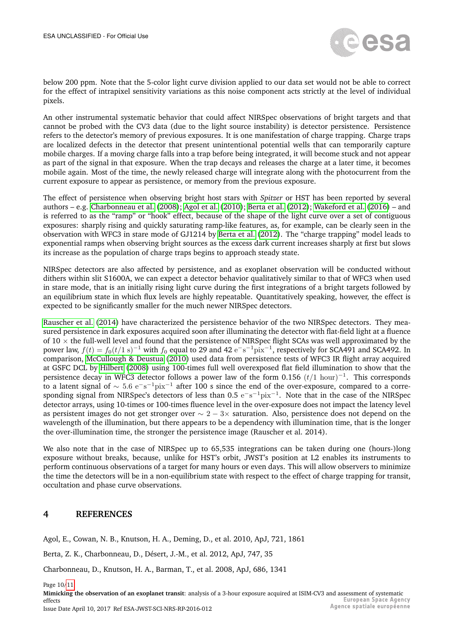

below 200 ppm. Note that the 5-color light curve division applied to our data set would not be able to correct for the effect of intrapixel sensitivity variations as this noise component acts strictly at the level of individual pixels.

An other instrumental systematic behavior that could affect NIRSpec observations of bright targets and that cannot be probed with the CV3 data (due to the light source instability) is detector persistence. Persistence refers to the detector's memory of previous exposures. It is one manifestation of charge trapping. Charge traps are localized defects in the detector that present unintentional potential wells that can temporarily capture mobile charges. If a moving charge falls into a trap before being integrated, it will become stuck and not appear as part of the signal in that exposure. When the trap decays and releases the charge at a later time, it becomes mobile again. Most of the time, the newly released charge will integrate along with the photocurrent from the current exposure to appear as persistence, or memory from the previous exposure.

The effect of persistence when observing bright host stars with *Spitzer* or HST has been reported by several authors – e.g. [Charbonneau et al.](#page-9-1) [\(2008\)](#page-9-1); [Agol et al.](#page-9-2) [\(2010\)](#page-9-2); [Berta et al.](#page-9-3) [\(2012\)](#page-9-3); [Wakeford et al.](#page-10-10) [\(2016\)](#page-10-10) – and is referred to as the "ramp" or "hook" effect, because of the shape of the light curve over a set of contiguous exposures: sharply rising and quickly saturating ramp-like features, as, for example, can be clearly seen in the observation with WFC3 in stare mode of GJ1214 by [Berta et al.](#page-9-3) [\(2012\)](#page-9-3). The "charge trapping" model leads to exponential ramps when observing bright sources as the excess dark current increases sharply at first but slows its increase as the population of charge traps begins to approach steady state.

NIRSpec detectors are also affected by persistence, and as exoplanet observation will be conducted without dithers within slit S1600A, we can expect a detector behavior qualitatively similar to that of WFC3 when used in stare mode, that is an initially rising light curve during the first integrations of a bright targets followed by an equilibrium state in which flux levels are highly repeatable. Quantitatively speaking, however, the effect is expected to be significantly smaller for the much newer NIRSpec detectors.

[Rauscher et al.](#page-10-11) [\(2014\)](#page-10-11) have characterized the persistence behavior of the two NIRSpec detectors. They measured persistence in dark exposures acquired soon after illuminating the detector with flat-field light at a fluence of  $10 \times$  the full-well level and found that the persistence of NIRSpec flight SCAs was well approximated by the power law,  $f(t) = f_0(t/1 \text{ s})^{-1}$  with  $f_0$  equal to 29 and 42  $\text{e}^{-}\text{s}^{-1}\text{pix}^{-1}$ , respectively for SCA491 and SCA492. In comparison, [McCullough & Deustua](#page-10-12) [\(2010\)](#page-10-12) used data from persistence tests of WFC3 IR flight array acquired at GSFC DCL by [Hilbert](#page-10-13) [\(2008\)](#page-10-13) using 100-times full well overexposed flat field illumination to show that the persistence decay in WFC3 detector follows a power law of the form 0.156  $(t/1\text{ hour})^{-1}$ . This corresponds to a latent signal of  $\sim 5.6\;\rm e^{-}\rm s^{-1} \rm pix^{-1}$  after 100 s since the end of the over-exposure, compared to a corresponding signal from NIRSpec's detectors of less than 0.5  $e^-s^{-1}$ pix<sup>-1</sup>. Note that in the case of the NIRSpec detector arrays, using 10-times or 100-times fluence level in the over-exposure does not impact the latency level as persistent images do not get stronger over ∼ 2 − 3× saturation. Also, persistence does not depend on the wavelength of the illumination, but there appears to be a dependency with illumination time, that is the longer the over-illumination time, the stronger the persistence image (Rauscher et al. 2014).

We also note that in the case of NIRSpec up to 65,535 integrations can be taken during one (hours-)long exposure without breaks, because, unlike for HST's orbit, JWST's position at L2 enables its instruments to perform continuous observations of a target for many hours or even days. This will allow observers to minimize the time the detectors will be in a non-equilibrium state with respect to the effect of charge trapping for transit, occultation and phase curve observations.

#### <span id="page-9-0"></span>**4 REFERENCES**

<span id="page-9-2"></span>Agol, E., Cowan, N. B., Knutson, H. A., Deming, D., et al. 2010, ApJ, 721, 1861

<span id="page-9-3"></span>Berta, Z. K., Charbonneau, D., Désert, J.-M., et al. 2012, ApJ, 747, 35

<span id="page-9-1"></span>Charbonneau, D., Knutson, H. A., Barman, T., et al. 2008, ApJ, 686, 1341

Page 10[/11](#page-10-0)

**Mimicking the observation of an exoplanet transit**: analysis of a 3-hour exposure acquired at ISIM-CV3 and assessment of systematic<br> **European Space Agency** effects Agence spatiale européenne Issue Date April 10, 2017 Ref ESA-JWST-SCI-NRS-RP-2016-012